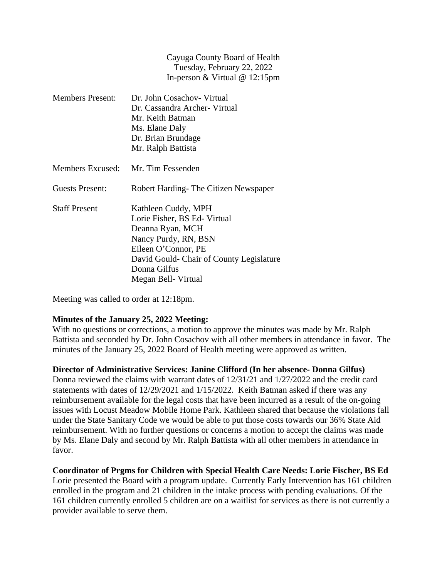Cayuga County Board of Health Tuesday, February 22, 2022 In-person & Virtual @ 12:15pm

| <b>Members Present:</b> | Dr. John Cosachov- Virtual               |
|-------------------------|------------------------------------------|
|                         | Dr. Cassandra Archer- Virtual            |
|                         | Mr. Keith Batman                         |
|                         | Ms. Elane Daly                           |
|                         | Dr. Brian Brundage                       |
|                         | Mr. Ralph Battista                       |
| Members Excused:        | Mr. Tim Fessenden                        |
| Guests Present:         | Robert Harding- The Citizen Newspaper    |
| <b>Staff Present</b>    | Kathleen Cuddy, MPH                      |
|                         | Lorie Fisher, BS Ed-Virtual              |
|                         | Deanna Ryan, MCH                         |
|                         | Nancy Purdy, RN, BSN                     |
|                         | Eileen O'Connor, PE                      |
|                         | David Gould- Chair of County Legislature |
|                         | Donna Gilfus                             |
|                         | Megan Bell- Virtual                      |

Meeting was called to order at 12:18pm.

#### **Minutes of the January 25, 2022 Meeting:**

With no questions or corrections, a motion to approve the minutes was made by Mr. Ralph Battista and seconded by Dr. John Cosachov with all other members in attendance in favor. The minutes of the January 25, 2022 Board of Health meeting were approved as written.

### **Director of Administrative Services: Janine Clifford (In her absence- Donna Gilfus)**

Donna reviewed the claims with warrant dates of 12/31/21 and 1/27/2022 and the credit card statements with dates of 12/29/2021 and 1/15/2022. Keith Batman asked if there was any reimbursement available for the legal costs that have been incurred as a result of the on-going issues with Locust Meadow Mobile Home Park. Kathleen shared that because the violations fall under the State Sanitary Code we would be able to put those costs towards our 36% State Aid reimbursement. With no further questions or concerns a motion to accept the claims was made by Ms. Elane Daly and second by Mr. Ralph Battista with all other members in attendance in favor.

# **Coordinator of Prgms for Children with Special Health Care Needs: Lorie Fischer, BS Ed**

Lorie presented the Board with a program update. Currently Early Intervention has 161 children enrolled in the program and 21 children in the intake process with pending evaluations. Of the 161 children currently enrolled 5 children are on a waitlist for services as there is not currently a provider available to serve them.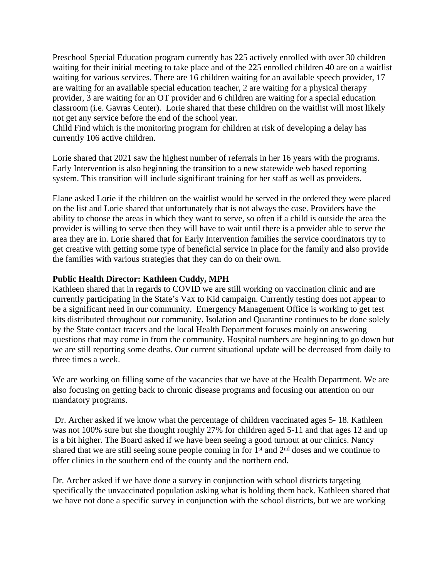Preschool Special Education program currently has 225 actively enrolled with over 30 children waiting for their initial meeting to take place and of the 225 enrolled children 40 are on a waitlist waiting for various services. There are 16 children waiting for an available speech provider, 17 are waiting for an available special education teacher, 2 are waiting for a physical therapy provider, 3 are waiting for an OT provider and 6 children are waiting for a special education classroom (i.e. Gavras Center). Lorie shared that these children on the waitlist will most likely not get any service before the end of the school year.

Child Find which is the monitoring program for children at risk of developing a delay has currently 106 active children.

Lorie shared that 2021 saw the highest number of referrals in her 16 years with the programs. Early Intervention is also beginning the transition to a new statewide web based reporting system. This transition will include significant training for her staff as well as providers.

Elane asked Lorie if the children on the waitlist would be served in the ordered they were placed on the list and Lorie shared that unfortunately that is not always the case. Providers have the ability to choose the areas in which they want to serve, so often if a child is outside the area the provider is willing to serve then they will have to wait until there is a provider able to serve the area they are in. Lorie shared that for Early Intervention families the service coordinators try to get creative with getting some type of beneficial service in place for the family and also provide the families with various strategies that they can do on their own.

## **Public Health Director: Kathleen Cuddy, MPH**

Kathleen shared that in regards to COVID we are still working on vaccination clinic and are currently participating in the State's Vax to Kid campaign. Currently testing does not appear to be a significant need in our community. Emergency Management Office is working to get test kits distributed throughout our community. Isolation and Quarantine continues to be done solely by the State contact tracers and the local Health Department focuses mainly on answering questions that may come in from the community. Hospital numbers are beginning to go down but we are still reporting some deaths. Our current situational update will be decreased from daily to three times a week.

We are working on filling some of the vacancies that we have at the Health Department. We are also focusing on getting back to chronic disease programs and focusing our attention on our mandatory programs.

Dr. Archer asked if we know what the percentage of children vaccinated ages 5- 18. Kathleen was not 100% sure but she thought roughly 27% for children aged 5-11 and that ages 12 and up is a bit higher. The Board asked if we have been seeing a good turnout at our clinics. Nancy shared that we are still seeing some people coming in for  $1<sup>st</sup>$  and  $2<sup>nd</sup>$  doses and we continue to offer clinics in the southern end of the county and the northern end.

Dr. Archer asked if we have done a survey in conjunction with school districts targeting specifically the unvaccinated population asking what is holding them back. Kathleen shared that we have not done a specific survey in conjunction with the school districts, but we are working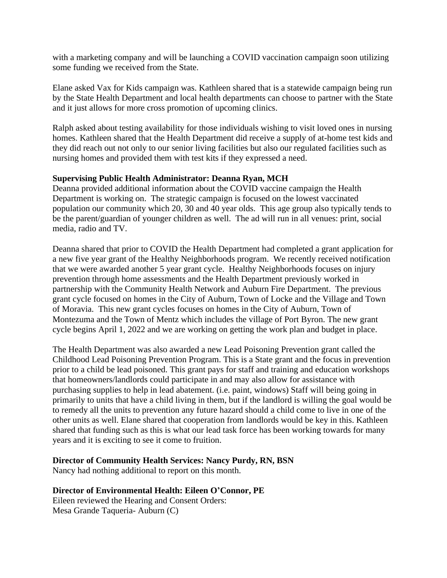with a marketing company and will be launching a COVID vaccination campaign soon utilizing some funding we received from the State.

Elane asked Vax for Kids campaign was. Kathleen shared that is a statewide campaign being run by the State Health Department and local health departments can choose to partner with the State and it just allows for more cross promotion of upcoming clinics.

Ralph asked about testing availability for those individuals wishing to visit loved ones in nursing homes. Kathleen shared that the Health Department did receive a supply of at-home test kids and they did reach out not only to our senior living facilities but also our regulated facilities such as nursing homes and provided them with test kits if they expressed a need.

## **Supervising Public Health Administrator: Deanna Ryan, MCH**

Deanna provided additional information about the COVID vaccine campaign the Health Department is working on. The strategic campaign is focused on the lowest vaccinated population our community which 20, 30 and 40 year olds. This age group also typically tends to be the parent/guardian of younger children as well. The ad will run in all venues: print, social media, radio and TV.

Deanna shared that prior to COVID the Health Department had completed a grant application for a new five year grant of the Healthy Neighborhoods program. We recently received notification that we were awarded another 5 year grant cycle. Healthy Neighborhoods focuses on injury prevention through home assessments and the Health Department previously worked in partnership with the Community Health Network and Auburn Fire Department. The previous grant cycle focused on homes in the City of Auburn, Town of Locke and the Village and Town of Moravia. This new grant cycles focuses on homes in the City of Auburn, Town of Montezuma and the Town of Mentz which includes the village of Port Byron. The new grant cycle begins April 1, 2022 and we are working on getting the work plan and budget in place.

The Health Department was also awarded a new Lead Poisoning Prevention grant called the Childhood Lead Poisoning Prevention Program. This is a State grant and the focus in prevention prior to a child be lead poisoned. This grant pays for staff and training and education workshops that homeowners/landlords could participate in and may also allow for assistance with purchasing supplies to help in lead abatement. (i.e. paint, windows) Staff will being going in primarily to units that have a child living in them, but if the landlord is willing the goal would be to remedy all the units to prevention any future hazard should a child come to live in one of the other units as well. Elane shared that cooperation from landlords would be key in this. Kathleen shared that funding such as this is what our lead task force has been working towards for many years and it is exciting to see it come to fruition.

# **Director of Community Health Services: Nancy Purdy, RN, BSN**

Nancy had nothing additional to report on this month.

# **Director of Environmental Health: Eileen O'Connor, PE**

Eileen reviewed the Hearing and Consent Orders: Mesa Grande Taqueria- Auburn (C)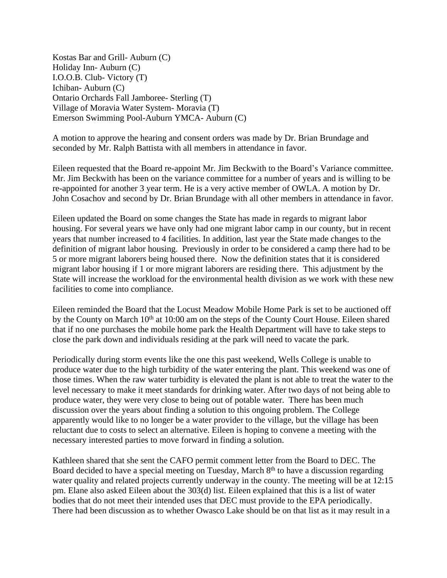Kostas Bar and Grill- Auburn (C) Holiday Inn- Auburn (C) I.O.O.B. Club- Victory (T) Ichiban- Auburn (C) Ontario Orchards Fall Jamboree- Sterling (T) Village of Moravia Water System- Moravia (T) Emerson Swimming Pool-Auburn YMCA- Auburn (C)

A motion to approve the hearing and consent orders was made by Dr. Brian Brundage and seconded by Mr. Ralph Battista with all members in attendance in favor.

Eileen requested that the Board re-appoint Mr. Jim Beckwith to the Board's Variance committee. Mr. Jim Beckwith has been on the variance committee for a number of years and is willing to be re-appointed for another 3 year term. He is a very active member of OWLA. A motion by Dr. John Cosachov and second by Dr. Brian Brundage with all other members in attendance in favor.

Eileen updated the Board on some changes the State has made in regards to migrant labor housing. For several years we have only had one migrant labor camp in our county, but in recent years that number increased to 4 facilities. In addition, last year the State made changes to the definition of migrant labor housing. Previously in order to be considered a camp there had to be 5 or more migrant laborers being housed there. Now the definition states that it is considered migrant labor housing if 1 or more migrant laborers are residing there. This adjustment by the State will increase the workload for the environmental health division as we work with these new facilities to come into compliance.

Eileen reminded the Board that the Locust Meadow Mobile Home Park is set to be auctioned off by the County on March 10<sup>th</sup> at 10:00 am on the steps of the County Court House. Eileen shared that if no one purchases the mobile home park the Health Department will have to take steps to close the park down and individuals residing at the park will need to vacate the park.

Periodically during storm events like the one this past weekend, Wells College is unable to produce water due to the high turbidity of the water entering the plant. This weekend was one of those times. When the raw water turbidity is elevated the plant is not able to treat the water to the level necessary to make it meet standards for drinking water. After two days of not being able to produce water, they were very close to being out of potable water. There has been much discussion over the years about finding a solution to this ongoing problem. The College apparently would like to no longer be a water provider to the village, but the village has been reluctant due to costs to select an alternative. Eileen is hoping to convene a meeting with the necessary interested parties to move forward in finding a solution.

Kathleen shared that she sent the CAFO permit comment letter from the Board to DEC. The Board decided to have a special meeting on Tuesday, March 8<sup>th</sup> to have a discussion regarding water quality and related projects currently underway in the county. The meeting will be at 12:15 pm. Elane also asked Eileen about the 303(d) list. Eileen explained that this is a list of water bodies that do not meet their intended uses that DEC must provide to the EPA periodically. There had been discussion as to whether Owasco Lake should be on that list as it may result in a